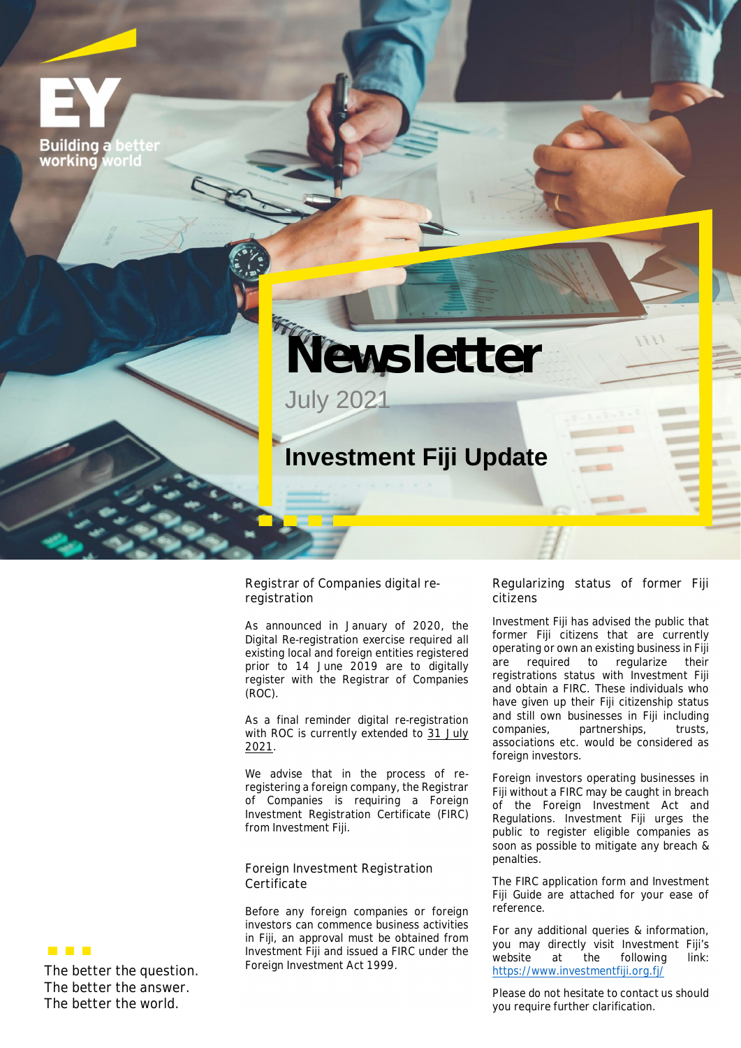**Building a** working world



## **Investment Fiji Update**

## **Registrar of Companies digital reregistration**

As announced in January of 2020, the Digital Re-registration exercise required all existing local and foreign entities registered prior to 14 June 2019 are to digitally register with the Registrar of Companies (ROC).

As a final reminder digital re-registration with ROC is currently extended to **31 July 2021**.

We advise that in the process of reregistering a foreign company, the Registrar of Companies is requiring a Foreign Investment Registration Certificate (FIRC) from Investment Fiji.

**Foreign Investment Registration Certificate**

Before any foreign companies or foreign investors can commence business activities in Fiji, an approval must be obtained from Investment Fiji and issued a FIRC under the Foreign Investment Act 1999.

## **Regularizing status of former Fiji citizens**

Investment Fiji has advised the public that former Fiji citizens that are currently operating or own an existing business in Fiji are required to regularize their registrations status with Investment Fiji and obtain a FIRC. These individuals who have given up their Fiji citizenship status and still own businesses in Fiji including companies, partnerships, trusts, associations etc. would be considered as foreign investors.

Foreign investors operating businesses in Fiji without a FIRC may be caught in breach of the Foreign Investment Act and Regulations. Investment Fiji urges the public to register eligible companies as soon as possible to mitigate any breach & penalties.

The FIRC application form and Investment Fiji Guide are attached for your ease of reference.

For any additional queries & information, you may directly visit Investment Fiji's website at the following link: https://www.investmentfiji.org.fj/

Please do not hesitate to contact us should you require further clarification.



**The better the question. The better the answer. The better the world.**